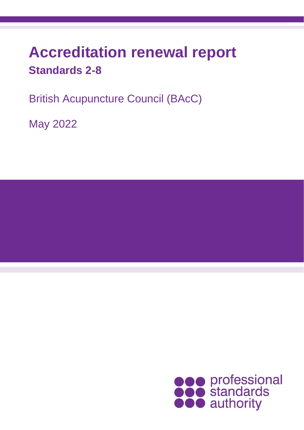# **Accreditation renewal report Standards 2-8**

British Acupuncture Council (BAcC)

May 2022

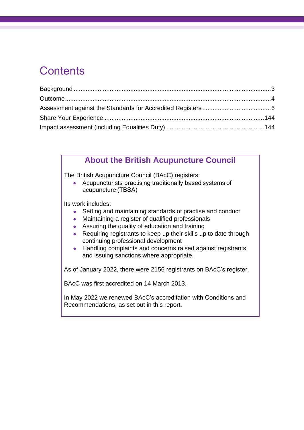### **Contents**

### **About the British Acupuncture Council**

The British Acupuncture Council (BAcC) registers:

• Acupuncturists practising traditionally based systems of acupuncture (TBSA)

Its work includes:

- Setting and maintaining standards of practise and conduct
- Maintaining a register of qualified professionals
- Assuring the quality of education and training
- Requiring registrants to keep up their skills up to date through continuing professional development
- Handling complaints and concerns raised against registrants and issuing sanctions where appropriate.

As of January 2022, there were 2156 registrants on BAcC's register.

BAcC was first accredited on 14 March 2013.

In May 2022 we renewed BAcC's accreditation with Conditions and Recommendations, as set out in this report.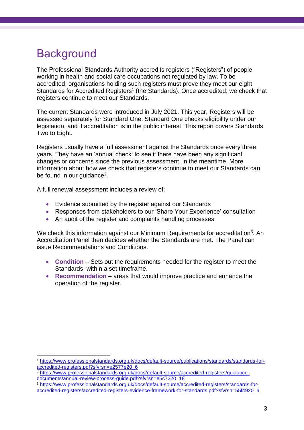### <span id="page-2-0"></span>**Background**

The Professional Standards Authority accredits registers ("Registers") of people working in health and social care occupations not regulated by law. To be accredited, organisations holding such registers must prove they meet our eight Standards for Accredited Registers<sup>1</sup> (the Standards). Once accredited, we check that registers continue to meet our Standards.

The current Standards were introduced in July 2021. This year, Registers will be assessed separately for Standard One. Standard One checks eligibility under our legislation, and if accreditation is in the public interest. This report covers Standards Two to Eight.

Registers usually have a full assessment against the Standards once every three years. They have an 'annual check' to see if there have been any significant changes or concerns since the previous assessment, in the meantime. More information about how we check that registers continue to meet our Standards can be found in our guidance<sup>2</sup>.

A full renewal assessment includes a review of:

- Evidence submitted by the register against our Standards
- Responses from stakeholders to our 'Share Your Experience' consultation
- An audit of the register and complaints handling processes

We check this information against our Minimum Requirements for accreditation<sup>3</sup>. An Accreditation Panel then decides whether the Standards are met. The Panel can issue Recommendations and Conditions.

- **Condition**  Sets out the requirements needed for the register to meet the Standards, within a set timeframe.
- **Recommendation** areas that would improve practice and enhance the operation of the register.

<sup>1</sup> [https://www.professionalstandards.org.uk/docs/default-source/publications/standards/standards-for](https://www.professionalstandards.org.uk/docs/default-source/publications/standards/standards-for-accredited-registers.pdf?sfvrsn=e2577e20_6)[accredited-registers.pdf?sfvrsn=e2577e20\\_6](https://www.professionalstandards.org.uk/docs/default-source/publications/standards/standards-for-accredited-registers.pdf?sfvrsn=e2577e20_6)

<sup>2</sup> [https://www.professionalstandards.org.uk/docs/default-source/accredited-registers/guidance](https://www.professionalstandards.org.uk/docs/default-source/accredited-registers/guidance-documents/annual-review-process-guide.pdf?sfvrsn=e5c7220_18)[documents/annual-review-process-guide.pdf?sfvrsn=e5c7220\\_18](https://www.professionalstandards.org.uk/docs/default-source/accredited-registers/guidance-documents/annual-review-process-guide.pdf?sfvrsn=e5c7220_18)

<sup>3</sup> [https://www.professionalstandards.org.uk/docs/default-source/accredited-registers/standards-for](https://www.professionalstandards.org.uk/docs/default-source/accredited-registers/standards-for-accredited-registers/accredited-registers-evidence-framework-for-standards.pdf?sfvrsn=55f4920_6)[accredited-registers/accredited-registers-evidence-framework-for-standards.pdf?sfvrsn=55f4920\\_6](https://www.professionalstandards.org.uk/docs/default-source/accredited-registers/standards-for-accredited-registers/accredited-registers-evidence-framework-for-standards.pdf?sfvrsn=55f4920_6)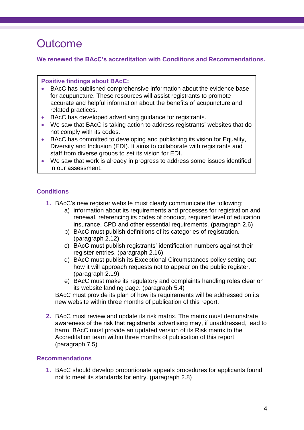### <span id="page-3-0"></span>**Outcome**

### **We renewed the BAcC's accreditation with Conditions and Recommendations.**

#### **Positive findings about BAcC:**

- BAcC has published comprehensive information about the evidence base for acupuncture. These resources will assist registrants to promote accurate and helpful information about the benefits of acupuncture and related practices.
- BAcC has developed advertising guidance for registrants.
- We saw that BAcC is taking action to address registrants' websites that do not comply with its codes.
- BAcC has committed to developing and publishing its vision for Equality, Diversity and Inclusion (EDI). It aims to collaborate with registrants and staff from diverse groups to set its vision for EDI.
- We saw that work is already in progress to address some issues identified in our assessment.

### **Conditions**

- **1.** BAcC's new register website must clearly communicate the following:
	- a) information about its requirements and processes for registration and renewal, referencing its codes of conduct, required level of education, insurance, CPD and other essential requirements. (paragraph 2.6)
	- b) BAcC must publish definitions of its categories of registration. (paragraph 2.12)
	- c) BAcC must publish registrants' identification numbers against their register entries. (paragraph 2.16)
	- d) BAcC must publish its Exceptional Circumstances policy setting out how it will approach requests not to appear on the public register. (paragraph 2.19)
	- e) BAcC must make its regulatory and complaints handling roles clear on its website landing page. (paragraph 5.4)

BAcC must provide its plan of how its requirements will be addressed on its new website within three months of publication of this report.

**2.** BAcC must review and update its risk matrix. The matrix must demonstrate awareness of the risk that registrants' advertising may, if unaddressed, lead to harm. BAcC must provide an updated version of its Risk matrix to the Accreditation team within three months of publication of this report. (paragraph 7.5)

### **Recommendations**

**1.** BAcC should develop proportionate appeals procedures for applicants found not to meet its standards for entry. (paragraph 2.8)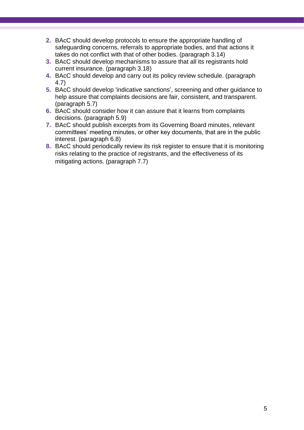- **2.** BAcC should develop protocols to ensure the appropriate handling of safeguarding concerns, referrals to appropriate bodies, and that actions it takes do not conflict with that of other bodies. (paragraph 3.14)
- **3.** BAcC should develop mechanisms to assure that all its registrants hold current insurance. (paragraph 3.18)
- **4.** BAcC should develop and carry out its policy review schedule. (paragraph 4.7)
- **5.** BAcC should develop 'indicative sanctions', screening and other guidance to help assure that complaints decisions are fair, consistent, and transparent. (paragraph 5.7)
- **6.** BAcC should consider how it can assure that it learns from complaints decisions. (paragraph 5.9)
- **7.** BAcC should publish excerpts from its Governing Board minutes, relevant committees' meeting minutes, or other key documents, that are in the public interest. (paragraph 6.8)
- **8.** BAcC should periodically review its risk register to ensure that it is monitoring risks relating to the practice of registrants, and the effectiveness of its mitigating actions. (paragraph 7.7)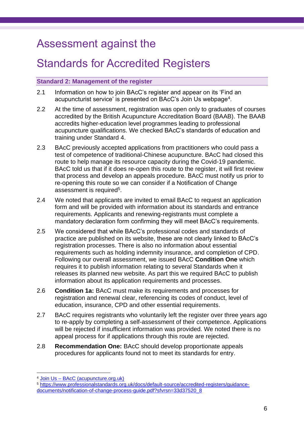### Assessment against the

### Standards for Accredited Registers

#### **Standard 2: Management of the register**

- 2.1 Information on how to join BAcC's register and appear on its 'Find an acupuncturist service' is presented on BAcC's Join Us webpage<sup>4</sup>.
- 2.2 At the time of assessment, registration was open only to graduates of courses accredited by the British Acupuncture Accreditation Board (BAAB). The BAAB accredits higher-education level programmes leading to professional acupuncture qualifications. We checked BAcC's standards of education and training under Standard 4.
- 2.3 BAcC previously accepted applications from practitioners who could pass a test of competence of traditional-Chinese acupuncture. BAcC had closed this route to help manage its resource capacity during the Covid-19 pandemic. BAcC told us that if it does re-open this route to the register, it will first review that process and develop an appeals procedure. BAcC must notify us prior to re-opening this route so we can consider if a Notification of Change assessment is required<sup>5</sup>.
- 2.4 We noted that applicants are invited to email BAcC to request an application form and will be provided with information about its standards and entrance requirements. Applicants and renewing-registrants must complete a mandatory declaration form confirming they will meet BAcC's requirements.
- 2.5 We considered that while BAcC's professional codes and standards of practice are published on its website, these are not clearly linked to BAcC's registration processes. There is also no information about essential requirements such as holding indemnity insurance, and completion of CPD. Following our overall assessment, we issued BAcC **Condition One** which requires it to publish information relating to several Standards when it releases its planned new website. As part this we required BAcC to publish information about its application requirements and processes.
- 2.6 **Condition 1a:** BAcC must make its requirements and processes for registration and renewal clear, referencing its codes of conduct, level of education, insurance, CPD and other essential requirements.
- 2.7 BAcC requires registrants who voluntarily left the register over three years ago to re-apply by completing a self-assessment of their competence. Applications will be rejected if insufficient information was provided. We noted there is no appeal process for if applications through this route are rejected.
- 2.8 **Recommendation One:** BAcC should develop proportionate appeals procedures for applicants found not to meet its standards for entry.

<sup>4</sup> Join Us – [BAcC \(acupuncture.org.uk\)](https://acupuncture.org.uk/join-us/)

<sup>5</sup> [https://www.professionalstandards.org.uk/docs/default-source/accredited-registers/guidance](https://www.professionalstandards.org.uk/docs/default-source/accredited-registers/guidance-documents/notification-of-change-process-guide.pdf?sfvrsn=33d37520_8)[documents/notification-of-change-process-guide.pdf?sfvrsn=33d37520\\_8](https://www.professionalstandards.org.uk/docs/default-source/accredited-registers/guidance-documents/notification-of-change-process-guide.pdf?sfvrsn=33d37520_8)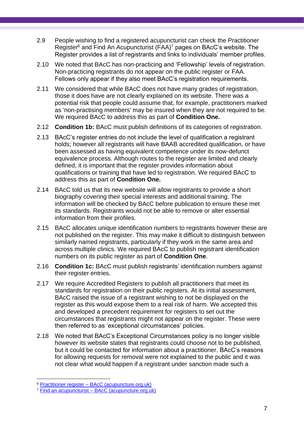- 2.9 People wishing to find a registered acupuncturist can check the Practitioner Register<sup>6</sup> and Find An Acupuncturist (FAA)<sup>7</sup> pages on BAcC's website. The Register provides a list of registrants and links to individuals' member profiles.
- 2.10 We noted that BAcC has non-practicing and 'Fellowship' levels of registration. Non-practicing registrants do not appear on the public register or FAA. Fellows only appear if they also meet BAcC's registration requirements.
- 2.11 We considered that while BAcC does not have many grades of registration, those it does have are not clearly explained on its website. There was a potential risk that people could assume that, for example, practitioners marked as 'non-practising members' may be insured when they are not required to be. We required BAcC to address this as part of **Condition One.**
- 2.12 **Condition 1b:** BAcC must publish definitions of its categories of registration.
- 2.13 BAcC's register entries do not include the level of qualification a registrant holds; however all registrants will have BAAB accredited qualification, or have been assessed as having equivalent competence under its now-defunct equivalence process. Although routes to the register are limited and clearly defined, it is important that the register provides information about qualifications or training that have led to registration. We required BAcC to address this as part of **Condition One.**
- 2.14 BAcC told us that its new website will allow registrants to provide a short biography covering their special interests and additional training. The information will be checked by BAcC before publication to ensure these met its standards. Registrants would not be able to remove or alter essential information from their profiles.
- 2.15 BAcC allocates unique identification numbers to registrants however these are not published on the register. This may make it difficult to distinguish between similarly named registrants, particularly if they work in the same area and across multiple clinics. We required BAcC to publish registrant identification numbers on its public register as part of **Condition One**.
- 2.16 **Condition 1c:** BAcC must publish registrants' identification numbers against their register entries.
- 2.17 We require Accredited Registers to publish all practitioners that meet its standards for registration on their public registers. At its initial assessment, BAcC raised the issue of a registrant wishing to not be displayed on the register as this would expose them to a real risk of harm. We accepted this and developed a precedent requirement for registers to set out the circumstances that registrants might not appear on the register. These were then referred to as 'exceptional circumstances' policies.
- 2.18 We noted that BAcC's Exceptional Circumstances policy is no longer visible however its website states that registrants could choose not to be published, but it could be contacted for information about a practitioner. BAcC's reasons for allowing requests for removal were not explained to the public and it was not clear what would happen if a registrant under sanction made such a

<sup>6</sup> Practitioner register – [BAcC \(acupuncture.org.uk\)](https://acupuncture.org.uk/membership/practitioner-register/)

<sup>7</sup> Find an acupuncturist – [BAcC \(acupuncture.org.uk\)](https://acupuncture.org.uk/find-an-acupuncturist/)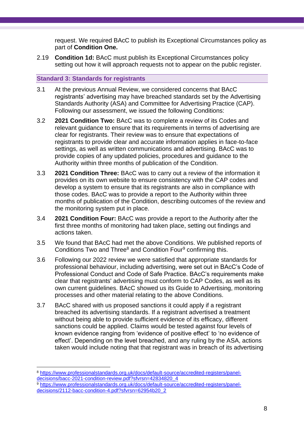request. We required BAcC to publish its Exceptional Circumstances policy as part of **Condition One.**

2.19 **Condition 1d:** BAcC must publish its Exceptional Circumstances policy setting out how it will approach requests not to appear on the public register.

#### **Standard 3: Standards for registrants**

- 3.1 At the previous Annual Review, we considered concerns that BAcC registrants' advertising may have breached standards set by the Advertising Standards Authority (ASA) and Committee for Advertising Practice (CAP). Following our assessment, we issued the following Conditions:
- 3.2 **2021 Condition Two:** BAcC was to complete a review of its Codes and relevant guidance to ensure that its requirements in terms of advertising are clear for registrants. Their review was to ensure that expectations of registrants to provide clear and accurate information applies in face-to-face settings, as well as written communications and advertising. BAcC was to provide copies of any updated policies, procedures and guidance to the Authority within three months of publication of the Condition.
- 3.3 **2021 Condition Three:** BAcC was to carry out a review of the information it provides on its own website to ensure consistency with the CAP codes and develop a system to ensure that its registrants are also in compliance with those codes. BAcC was to provide a report to the Authority within three months of publication of the Condition, describing outcomes of the review and the monitoring system put in place.
- 3.4 **2021 Condition Four:** BAcC was provide a report to the Authority after the first three months of monitoring had taken place, setting out findings and actions taken.
- 3.5 We found that BAcC had met the above Conditions. We published reports of Conditions Two and Three<sup>8</sup> and Condition Four<sup>9</sup> confirming this.
- 3.6 Following our 2022 review we were satisfied that appropriate standards for professional behaviour, including advertising, were set out in BAcC's Code of Professional Conduct and Code of Safe Practice. BAcC's requirements make clear that registrants' advertising must conform to CAP Codes, as well as its own current guidelines. BAcC showed us its Guide to Advertising, monitoring processes and other material relating to the above Conditions.
- 3.7 BAcC shared with us proposed sanctions it could apply if a registrant breached its advertising standards. If a registrant advertised a treatment without being able to provide sufficient evidence of its efficacy, different sanctions could be applied. Claims would be tested against four levels of known evidence ranging from 'evidence of positive effect' to 'no evidence of effect'. Depending on the level breached, and any ruling by the ASA, actions taken would include noting that that registrant was in breach of its advertising

<sup>8</sup> [https://www.professionalstandards.org.uk/docs/default-source/accredited-registers/panel](https://www.professionalstandards.org.uk/docs/default-source/accredited-registers/panel-decisions/bacc-2021-condition-review.pdf?sfvrsn=42834820_4)[decisions/bacc-2021-condition-review.pdf?sfvrsn=42834820\\_4](https://www.professionalstandards.org.uk/docs/default-source/accredited-registers/panel-decisions/bacc-2021-condition-review.pdf?sfvrsn=42834820_4)

<sup>9</sup> [https://www.professionalstandards.org.uk/docs/default-source/accredited-registers/panel](https://www.professionalstandards.org.uk/docs/default-source/accredited-registers/panel-decisions/2112-bacc-condition-4.pdf?sfvrsn=62954b20_2)[decisions/2112-bacc-condition-4.pdf?sfvrsn=62954b20\\_2](https://www.professionalstandards.org.uk/docs/default-source/accredited-registers/panel-decisions/2112-bacc-condition-4.pdf?sfvrsn=62954b20_2)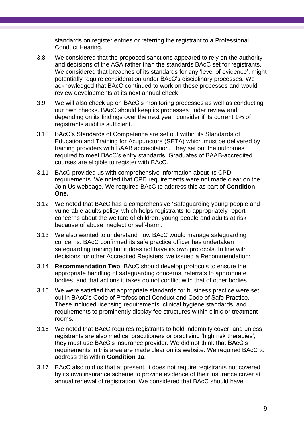standards on register entries or referring the registrant to a Professional Conduct Hearing.

- 3.8 We considered that the proposed sanctions appeared to rely on the authority and decisions of the ASA rather than the standards BAcC set for registrants. We considered that breaches of its standards for any 'level of evidence', might potentially require consideration under BAcC's disciplinary processes. We acknowledged that BAcC continued to work on these processes and would review developments at its next annual check.
- 3.9 We will also check up on BAcC's monitoring processes as well as conducting our own checks. BAcC should keep its processes under review and depending on its findings over the next year, consider if its current 1% of registrants audit is sufficient.
- 3.10 BAcC's Standards of Competence are set out within its Standards of Education and Training for Acupuncture (SETA) which must be delivered by training providers with BAAB accreditation. They set out the outcomes required to meet BAcC's entry standards. Graduates of BAAB-accredited courses are eligible to register with BAcC.
- 3.11 BAcC provided us with comprehensive information about its CPD requirements. We noted that CPD requirements were not made clear on the Join Us webpage. We required BAcC to address this as part of **Condition One.**
- 3.12 We noted that BAcC has a comprehensive 'Safeguarding young people and vulnerable adults policy' which helps registrants to appropriately report concerns about the welfare of children, young people and adults at risk because of abuse, neglect or self-harm.
- 3.13 We also wanted to understand how BAcC would manage safeguarding concerns. BAcC confirmed its safe practice officer has undertaken safeguarding training but it does not have its own protocols. In line with decisions for other Accredited Registers, we issued a Recommendation:
- 3.14 **Recommendation Two**: BAcC should develop protocols to ensure the appropriate handling of safeguarding concerns, referrals to appropriate bodies, and that actions it takes do not conflict with that of other bodies.
- 3.15 We were satisfied that appropriate standards for business practice were set out in BAcC's Code of Professional Conduct and Code of Safe Practice. These included licensing requirements, clinical hygiene standards, and requirements to prominently display fee structures within clinic or treatment rooms.
- 3.16 We noted that BAcC requires registrants to hold indemnity cover, and unless registrants are also medical practitioners or practising 'high risk therapies', they must use BAcC's insurance provider. We did not think that BAcC's requirements in this area are made clear on its website. We required BAcC to address this within **Condition 1a**.
- 3.17 BAcC also told us that at present, it does not require registrants not covered by its own insurance scheme to provide evidence of their insurance cover at annual renewal of registration. We considered that BAcC should have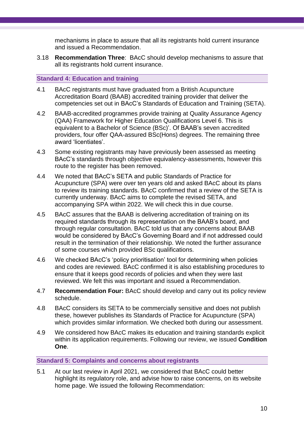mechanisms in place to assure that all its registrants hold current insurance and issued a Recommendation.

3.18 **Recommendation Three**: BAcC should develop mechanisms to assure that all its registrants hold current insurance.

#### **Standard 4: Education and training**

- 4.1 BAcC registrants must have graduated from a British Acupuncture Accreditation Board (BAAB) accredited training provider that deliver the competencies set out in BAcC's Standards of Education and Training (SETA).
- 4.2 BAAB-accredited programmes provide training at Quality Assurance Agency (QAA) Framework for Higher Education Qualifications Level 6. This is equivalent to a Bachelor of Science (BSc)'. Of BAAB's seven accredited providers, four offer QAA-assured BSc(Hons) degrees. The remaining three award 'licentiates'.
- 4.3 Some existing registrants may have previously been assessed as meeting BAcC's standards through objective equivalency-assessments, however this route to the register has been removed.
- 4.4 We noted that BAcC's SETA and public Standards of Practice for Acupuncture (SPA) were over ten years old and asked BAcC about its plans to review its training standards. BAcC confirmed that a review of the SETA is currently underway. BAcC aims to complete the revised SETA, and accompanying SPA within 2022. We will check this in due course.
- 4.5 BAcC assures that the BAAB is delivering accreditation of training on its required standards through its representation on the BAAB's board, and through regular consultation. BAcC told us that any concerns about BAAB would be considered by BAcC's Governing Board and if not addressed could result in the termination of their relationship. We noted the further assurance of some courses which provided BSc qualifications.
- 4.6 We checked BAcC's 'policy prioritisation' tool for determining when policies and codes are reviewed. BAcC confirmed it is also establishing procedures to ensure that it keeps good records of policies and when they were last reviewed. We felt this was important and issued a Recommendation.
- 4.7 **Recommendation Four:** BAcC should develop and carry out its policy review schedule.
- 4.8 BAcC considers its SETA to be commercially sensitive and does not publish these, however publishes its Standards of Practice for Acupuncture (SPA) which provides similar information. We checked both during our assessment.
- 4.9 We considered how BAcC makes its education and training standards explicit within its application requirements. Following our review, we issued **Condition One**.

#### **Standard 5: Complaints and concerns about registrants**

5.1 At our last review in April 2021, we considered that BAcC could better highlight its regulatory role, and advise how to raise concerns, on its website home page. We issued the following Recommendation: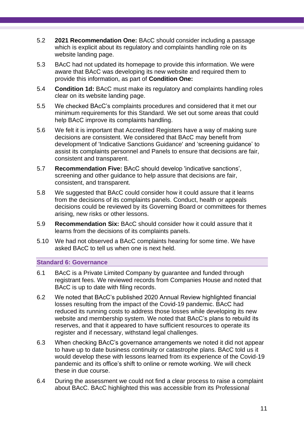- 5.2 **2021 Recommendation One:** BAcC should consider including a passage which is explicit about its regulatory and complaints handling role on its website landing page.
- 5.3 BAcC had not updated its homepage to provide this information. We were aware that BAcC was developing its new website and required them to provide this information, as part of **Condition One:**
- 5.4 **Condition 1d:** BAcC must make its regulatory and complaints handling roles clear on its website landing page.
- 5.5 We checked BAcC's complaints procedures and considered that it met our minimum requirements for this Standard. We set out some areas that could help BAcC improve its complaints handling.
- 5.6 We felt it is important that Accredited Registers have a way of making sure decisions are consistent. We considered that BAcC may benefit from development of 'Indicative Sanctions Guidance' and 'screening guidance' to assist its complaints personnel and Panels to ensure that decisions are fair, consistent and transparent.
- 5.7 **Recommendation Five:** BAcC should develop 'indicative sanctions', screening and other guidance to help assure that decisions are fair, consistent, and transparent.
- 5.8 We suggested that BAcC could consider how it could assure that it learns from the decisions of its complaints panels. Conduct, health or appeals decisions could be reviewed by its Governing Board or committees for themes arising, new risks or other lessons.
- 5.9 **Recommendation Six:** BAcC should consider how it could assure that it learns from the decisions of its complaints panels.
- 5.10 We had not observed a BAcC complaints hearing for some time. We have asked BAcC to tell us when one is next held.

**Standard 6: Governance**

- 6.1 BAcC is a Private Limited Company by guarantee and funded through registrant fees. We reviewed records from Companies House and noted that BAcC is up to date with filing records.
- 6.2 We noted that BAcC's published 2020 Annual Review highlighted financial losses resulting from the impact of the Covid-19 pandemic. BAcC had reduced its running costs to address those losses while developing its new website and membership system. We noted that BAcC's plans to rebuild its reserves, and that it appeared to have sufficient resources to operate its register and if necessary, withstand legal challenges.
- 6.3 When checking BAcC's governance arrangements we noted it did not appear to have up to date business continuity or catastrophe plans. BAcC told us it would develop these with lessons learned from its experience of the Covid-19 pandemic and its office's shift to online or remote working. We will check these in due course.
- 6.4 During the assessment we could not find a clear process to raise a complaint about BAcC. BAcC highlighted this was accessible from its Professional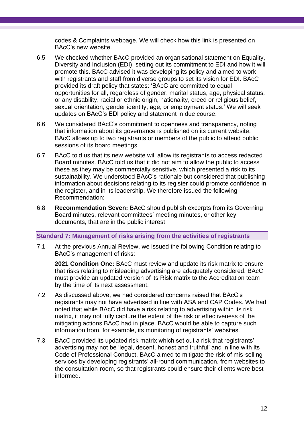codes & Complaints webpage. We will check how this link is presented on BAcC's new website.

- 6.5 We checked whether BAcC provided an organisational statement on Equality, Diversity and Inclusion (EDI), setting out its commitment to EDI and how it will promote this. BAcC advised it was developing its policy and aimed to work with registrants and staff from diverse groups to set its vision for EDI. BAcC provided its draft policy that states: 'BAcC are committed to equal opportunities for all, regardless of gender, marital status, age, physical status, or any disability, racial or ethnic origin, nationality, creed or religious belief, sexual orientation, gender identity, age, or employment status.' We will seek updates on BAcC's EDI policy and statement in due course.
- 6.6 We considered BAcC's commitment to openness and transparency, noting that information about its governance is published on its current website. BAcC allows up to two registrants or members of the public to attend public sessions of its board meetings.
- 6.7 BAcC told us that its new website will allow its registrants to access redacted Board minutes. BAcC told us that it did not aim to allow the public to access these as they may be commercially sensitive, which presented a risk to its sustainability. We understood BAcC's rationale but considered that publishing information about decisions relating to its register could promote confidence in the register, and in its leadership. We therefore issued the following Recommendation:
- 6.8 **Recommendation Seven:** BAcC should publish excerpts from its Governing Board minutes, relevant committees' meeting minutes, or other key documents, that are in the public interest

#### **Standard 7: Management of risks arising from the activities of registrants**

7.1 At the previous Annual Review, we issued the following Condition relating to BAcC's management of risks:

**2021 Condition One:** BAcC must review and update its risk matrix to ensure that risks relating to misleading advertising are adequately considered. BAcC must provide an updated version of its Risk matrix to the Accreditation team by the time of its next assessment.

- 7.2 As discussed above, we had considered concerns raised that BAcC's registrants may not have advertised in line with ASA and CAP Codes. We had noted that while BAcC did have a risk relating to advertising within its risk matrix, it may not fully capture the extent of the risk or effectiveness of the mitigating actions BAcC had in place. BAcC would be able to capture such information from, for example, its monitoring of registrants' websites.
- 7.3 BAcC provided its updated risk matrix which set out a risk that registrants' advertising may not be 'legal, decent, honest and truthful' and in line with its Code of Professional Conduct. BAcC aimed to mitigate the risk of mis-selling services by developing registrants' all-round communication, from websites to the consultation-room, so that registrants could ensure their clients were best informed.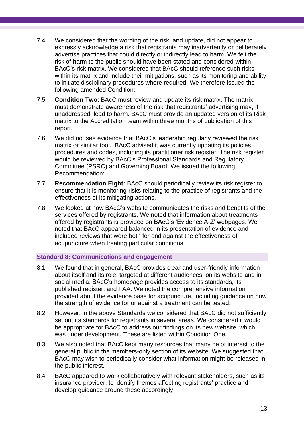- 7.4 We considered that the wording of the risk, and update, did not appear to expressly acknowledge a risk that registrants may inadvertently or deliberately advertise practices that could directly or indirectly lead to harm. We felt the risk of harm to the public should have been stated and considered within BAcC's risk matrix. We considered that BAcC should reference such risks within its matrix and include their mitigations, such as its monitoring and ability to initiate disciplinary procedures where required. We therefore issued the following amended Condition:
- 7.5 **Condition Two**: BAcC must review and update its risk matrix. The matrix must demonstrate awareness of the risk that registrants' advertising may, if unaddressed, lead to harm. BAcC must provide an updated version of its Risk matrix to the Accreditation team within three months of publication of this report.
- 7.6 We did not see evidence that BAcC's leadership regularly reviewed the risk matrix or similar tool. BAcC advised it was currently updating its policies, procedures and codes, including its practitioner risk register. The risk register would be reviewed by BAcC's Professional Standards and Regulatory Committee (PSRC) and Governing Board. We issued the following Recommendation:
- 7.7 **Recommendation Eight:** BAcC should periodically review its risk register to ensure that it is monitoring risks relating to the practice of registrants and the effectiveness of its mitigating actions.
- 7.8 We looked at how BAcC's website communicates the risks and benefits of the services offered by registrants. We noted that information about treatments offered by registrants is provided on BAcC's 'Evidence A-Z' webpages. We noted that BAcC appeared balanced in its presentation of evidence and included reviews that were both for and against the effectiveness of acupuncture when treating particular conditions.

#### **Standard 8: Communications and engagement**

- 8.1 We found that in general, BAcC provides clear and user-friendly information about itself and its role, targeted at different audiences, on its website and in social media. BAcC's homepage provides access to its standards, its published register, and FAA. We noted the comprehensive information provided about the evidence base for acupuncture, including guidance on how the strength of evidence for or against a treatment can be tested.
- 8.2 However, in the above Standards we considered that BAcC did not sufficiently set out its standards for registrants in several areas. We considered it would be appropriate for BAcC to address our findings on its new website, which was under development. These are listed within Condition One.
- 8.3 We also noted that BAcC kept many resources that many be of interest to the general public in the members-only section of its website. We suggested that BAcC may wish to periodically consider what information might be released in the public interest.
- 8.4 BAcC appeared to work collaboratively with relevant stakeholders, such as its insurance provider, to identify themes affecting registrants' practice and develop guidance around these accordingly